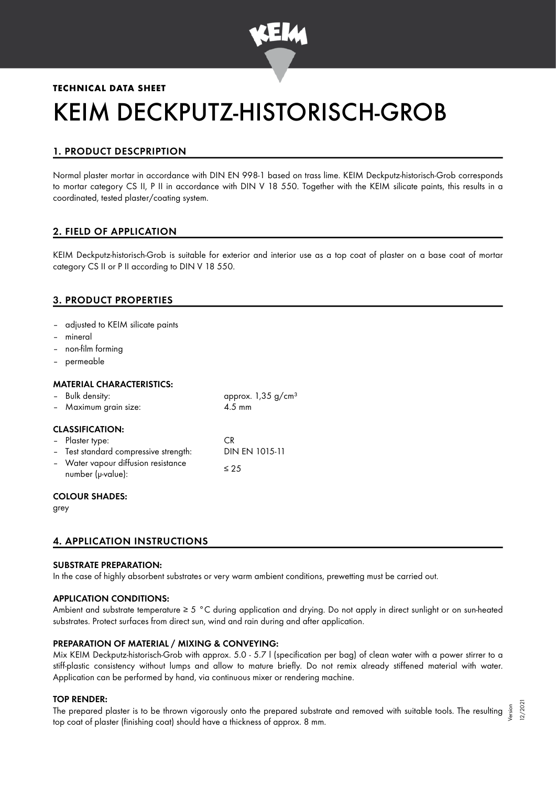

# **TECHNICAL DATA SHEET** KEIM DECKPUTZ-HISTORISCH-GROB

# 1. PRODUCT DESCPRIPTION

Normal plaster mortar in accordance with DIN EN 998-1 based on trass lime. KEIM Deckputz-historisch-Grob corresponds to mortar category CS II, P II in accordance with DIN V 18 550. Together with the KEIM silicate paints, this results in a coordinated, tested plaster/coating system.

# 2. FIELD OF APPLICATION

KEIM Deckputz-historisch-Grob is suitable for exterior and interior use as a top coat of plaster on a base coat of mortar category CS II or P II according to DIN V 18 550.

# 3. PRODUCT PROPERTIES

- adjusted to KEIM silicate paints
- mineral
- non-film forming
- permeable

# MATERIAL CHARACTERISTICS:

| - Bulk density:                                          | approx. $1,35$ g/cm <sup>3</sup> |
|----------------------------------------------------------|----------------------------------|
| - Maximum grain size:                                    | $4.5 \text{ mm}$                 |
| <b>CLASSIFICATION:</b>                                   |                                  |
| - Plaster type:                                          | C.R                              |
| - Test standard compressive strength:                    | DIN EN 1015-11                   |
| - Water vapour diffusion resistance<br>number (µ-value): | $\leq 25$                        |
| COLOUD SHADES.                                           |                                  |

# UK SHADES:

grey

# 4. APPLICATION INSTRUCTIONS

# SUBSTRATE PREPARATION:

In the case of highly absorbent substrates or very warm ambient conditions, prewetting must be carried out.

# APPLICATION CONDITIONS:

Ambient and substrate temperature ≥ 5 °C during application and drying. Do not apply in direct sunlight or on sun-heated substrates. Protect surfaces from direct sun, wind and rain during and after application.

# PREPARATION OF MATERIAL / MIXING & CONVEYING:

Mix KEIM Deckputz-historisch-Grob with approx. 5.0 - 5.7 l (specification per bag) of clean water with a power stirrer to a stiff-plastic consistency without lumps and allow to mature briefly. Do not remix already stiffened material with water. Application can be performed by hand, via continuous mixer or rendering machine.

# TOP RENDER:

The prepared plaster is to be thrown vigorously onto the prepared substrate and removed with suitable tools. The resulting  $\frac{5}{3}$ top coat of plaster (finishing coat) should have a thickness of approx. 8 mm.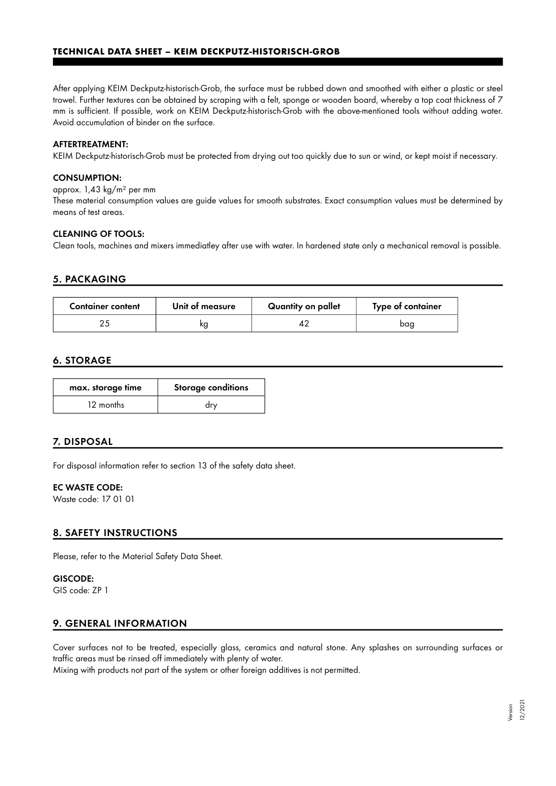# **TECHNICAL DATA SHEET – KEIM DECKPUTZ-HISTORISCH-GROB**

After applying KEIM Deckputz-historisch-Grob, the surface must be rubbed down and smoothed with either a plastic or steel trowel. Further textures can be obtained by scraping with a felt, sponge or wooden board, whereby a top coat thickness of 7 mm is sufficient. If possible, work on KEIM Deckputz-historisch-Grob with the above-mentioned tools without adding water. Avoid accumulation of binder on the surface.

#### AFTERTREATMENT:

KEIM Deckputz-historisch-Grob must be protected from drying out too quickly due to sun or wind, or kept moist if necessary.

#### CONSUMPTION:

approx. 1,43 kg/m² per mm

These material consumption values are guide values for smooth substrates. Exact consumption values must be determined by means of test areas.

#### CLEANING OF TOOLS:

Clean tools, machines and mixers immediatley after use with water. In hardened state only a mechanical removal is possible.

# 5. PACKAGING

| <b>Container content</b> | Unit of measure | Quantity on pallet | Type of container |
|--------------------------|-----------------|--------------------|-------------------|
|                          | kg              |                    | baa               |

# 6. STORAGE

| max. storage time | <b>Storage conditions</b> |
|-------------------|---------------------------|
| 12 months         | drv                       |

# 7. DISPOSAL

For disposal information refer to section 13 of the safety data sheet.

#### EC WASTE CODE:

Waste code: 17 01 01

# 8. SAFETY INSTRUCTIONS

Please, refer to the Material Safety Data Sheet.

# GISCODE:

GIS code: ZP 1

# 9. GENERAL INFORMATION

Cover surfaces not to be treated, especially glass, ceramics and natural stone. Any splashes on surrounding surfaces or traffic areas must be rinsed off immediately with plenty of water.

Mixing with products not part of the system or other foreign additives is not permitted.